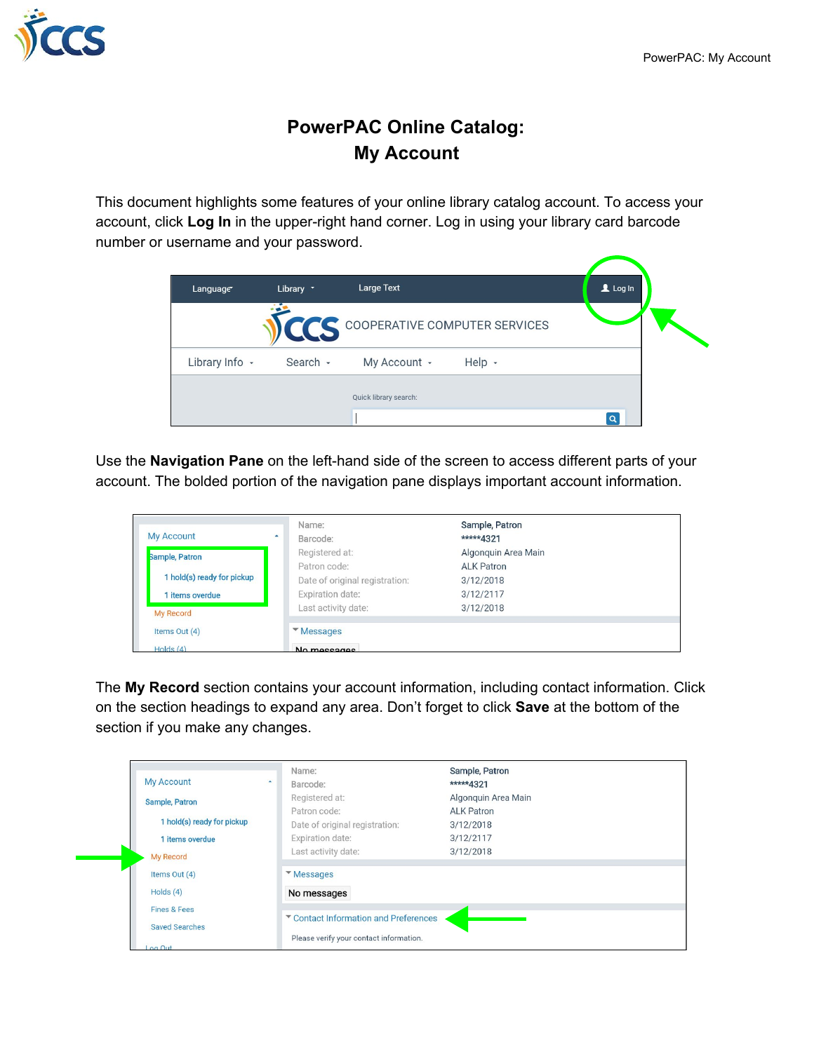

## **PowerPAC Online Catalog: My Account**

This document highlights some features of your online library catalog account. To access your account, click **Log In** in the upper-right hand corner. Log in using your library card barcode number or username and your password.

| Language       | Library * | Large Text                           |        | $\triangle$ Log In |  |
|----------------|-----------|--------------------------------------|--------|--------------------|--|
|                |           | <b>COOPERATIVE COMPUTER SERVICES</b> |        |                    |  |
| Library Info - | Search -  | My Account -                         | Help - |                    |  |
|                |           | Quick library search:                |        |                    |  |

Use the **Navigation Pane** on the left-hand side of the screen to access different parts of your account. The bolded portion of the navigation pane displays important account information.

| <b>My Account</b>          | Name:<br>Barcode:              | Sample, Patron<br>*****4321 |  |  |  |  |  |
|----------------------------|--------------------------------|-----------------------------|--|--|--|--|--|
| Sample, Patron             | Registered at:                 | Algonquin Area Main         |  |  |  |  |  |
|                            | Patron code:                   | <b>ALK Patron</b>           |  |  |  |  |  |
| 1 hold(s) ready for pickup | Date of original registration: | 3/12/2018                   |  |  |  |  |  |
| items overdue              | Expiration date:               | 3/12/2117                   |  |  |  |  |  |
| My Record                  | Last activity date:            | 3/12/2018                   |  |  |  |  |  |
| Items Out (4)              | <b>Messages</b>                |                             |  |  |  |  |  |
| Holds $(4)$                | No messages                    |                             |  |  |  |  |  |

The **My Record** section contains your account information, including contact information. Click on the section headings to expand any area. Don't forget to click **Save** at the bottom of the section if you make any changes.

| <b>My Account</b><br><b>Sample, Patron</b><br>1 hold(s) ready for pickup<br>1 items overdue  | Name:<br>Barcode:<br>Registered at:<br>Patron code:<br>Date of original registration:<br><b>Expiration date:</b>                          | Sample, Patron<br>*****4321<br>Algonquin Area Main<br><b>ALK Patron</b><br>3/12/2018<br>3/12/2117<br>3/12/2018 |
|----------------------------------------------------------------------------------------------|-------------------------------------------------------------------------------------------------------------------------------------------|----------------------------------------------------------------------------------------------------------------|
| My Record<br>Items Out (4)<br>Holds $(4)$<br>Fines & Fees<br><b>Saved Searches</b><br>tuO no | Last activity date:<br><i>Messages</i><br>No messages<br>▼ Contact Information and Preferences<br>Please verify your contact information. |                                                                                                                |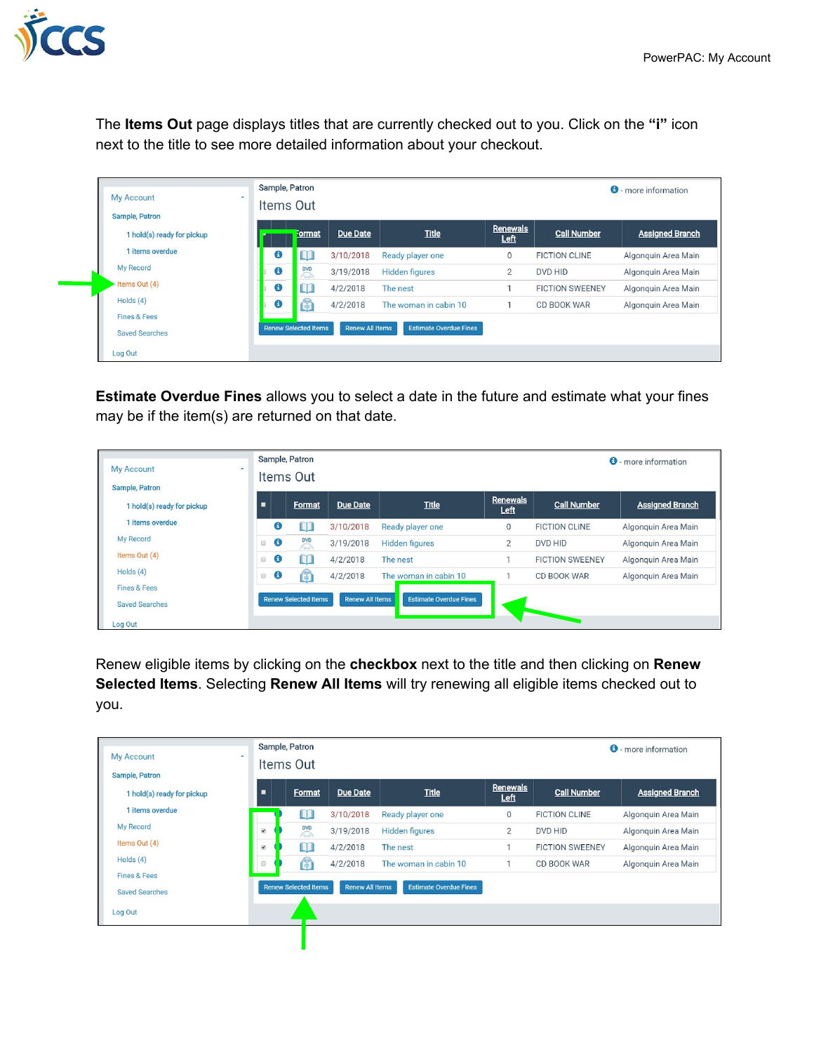

The **Items Out** page displays titles that are currently checked out to you. Click on the **"i"** icon next to the title to see more detailed information about your checkout.

| <b>My Account</b><br>Sample, Patron              | Sample, Patron<br>$\blacktriangle$<br>Items Out |                             |                        |                               |                  |                        | <b>0</b> - more information |
|--------------------------------------------------|-------------------------------------------------|-----------------------------|------------------------|-------------------------------|------------------|------------------------|-----------------------------|
| 1 hold(s) ready for pickup                       |                                                 | Format                      | <b>Due Date</b>        | <b>Title</b>                  | Renewals<br>Left | <b>Call Number</b>     | <b>Assigned Branch</b>      |
| 1 items overdue                                  | Θ                                               | Ш                           | 3/10/2018              | Ready player one              | $\Omega$         | <b>FICTION CLINE</b>   | Algonguin Area Main         |
| My Record                                        | $\mathbf \Theta$                                | <b>DVD</b><br>↷             | 3/19/2018              | <b>Hidden figures</b>         | $\overline{2}$   | DVD HID                | Algonguin Area Main         |
| Items Out (4)                                    | Θ                                               | Ш                           | 4/2/2018               | The nest                      |                  | <b>FICTION SWEENEY</b> | Algonguin Area Main         |
| Holds $(4)$                                      | Θ                                               | $\mathbb{G}$                | 4/2/2018               | The woman in cabin 10         |                  | CD BOOK WAR            | Algonquin Area Main         |
| <b>Fines &amp; Fees</b><br><b>Saved Searches</b> |                                                 | <b>Renew Selected Items</b> | <b>Renew All Items</b> | <b>Estimate Overdue Fines</b> |                  |                        |                             |
| Log Out                                          |                                                 |                             |                        |                               |                  |                        |                             |

**Estimate Overdue Fines** allows you to select a date in the future and estimate what your fines may be if the item(s) are returned on that date.

| <b>My Account</b><br>$\blacktriangle$<br><b>Sample, Patron</b> |                                                           | Sample, Patron<br>Items Out |                        |                               |                  |                        | <b>O</b> - more information |
|----------------------------------------------------------------|-----------------------------------------------------------|-----------------------------|------------------------|-------------------------------|------------------|------------------------|-----------------------------|
| 1 hold(s) ready for pickup                                     |                                                           | <b>Format</b>               | <b>Due Date</b>        | <b>Title</b>                  | Renewals<br>Left | Call Number            | <b>Assigned Branch</b>      |
| 1 items overdue                                                | €                                                         | Ш                           | 3/10/2018              | Ready player one              | $\mathbf 0$      | <b>FICTION CLINE</b>   | Algonquin Area Main         |
| My Record                                                      | $\bullet$ 8                                               | <b>DVD</b><br>$\sqrt{2}$    | 3/19/2018              | <b>Hidden figures</b>         | $\overline{2}$   | DVD HID                | Algonquin Area Main         |
| Items Out (4)                                                  | $\mathbf \Theta$<br>$\begin{array}{c} \hline \end{array}$ | Ш                           | 4/2/2018               | The nest                      |                  | <b>FICTION SWEENEY</b> | Algonquin Area Main         |
| Holds $(4)$                                                    | $\bullet$<br><b>a</b>                                     | G)                          | 4/2/2018               | The woman in cabin 10         |                  | CD BOOK WAR            | Algonquin Area Main         |
| Fines & Fees<br><b>Saved Searches</b><br>Log Out               |                                                           | <b>Renew Selected Items</b> | <b>Renew All Items</b> | <b>Estimate Overdue Fines</b> |                  |                        |                             |

Renew eligible items by clicking on the **checkbox** next to the title and then clicking on **Renew Selected Items**. Selecting **Renew All Items** will try renewing all eligible items checked out to you.

| <b>My Account</b>                            | $\overline{\phantom{a}}$ | Sample, Patron<br>Items Out |                        |                               |                  |                        | <b>0</b> - more information |
|----------------------------------------------|--------------------------|-----------------------------|------------------------|-------------------------------|------------------|------------------------|-----------------------------|
| Sample, Patron<br>1 hold(s) ready for pickup | ٠                        | Format                      | <b>Due Date</b>        | <b>Title</b>                  | Renewals<br>Left | <b>Call Number</b>     | <b>Assigned Branch</b>      |
| 1 items overdue                              |                          | ЦI                          | 3/10/2018              | Ready player one              | $\mathbf{0}$     | <b>FICTION CLINE</b>   | Algonquin Area Main         |
| My Record                                    | $\overline{\mathbf{v}}$  | <b>DVD</b><br>$\bigcirc$    | 3/19/2018              | <b>Hidden figures</b>         | $\overline{2}$   | DVD HID                | Algonguin Area Main         |
| Items Out (4)                                | $\overline{\mathbf{y}}$  | Ш                           | 4/2/2018               | The nest                      |                  | <b>FICTION SWEENEY</b> | Algonquin Area Main         |
| Holds $(4)$                                  | Θ                        | 的                           | 4/2/2018               | The woman in cabin 10         |                  | CD BOOK WAR            | Algonguin Area Main         |
| <b>Fines &amp; Fees</b>                      |                          |                             |                        |                               |                  |                        |                             |
| <b>Saved Searches</b>                        |                          | <b>Renew Selected Items</b> | <b>Renew All Items</b> | <b>Estimate Overdue Fines</b> |                  |                        |                             |
| Log Out                                      |                          |                             |                        |                               |                  |                        |                             |
|                                              |                          |                             |                        |                               |                  |                        |                             |